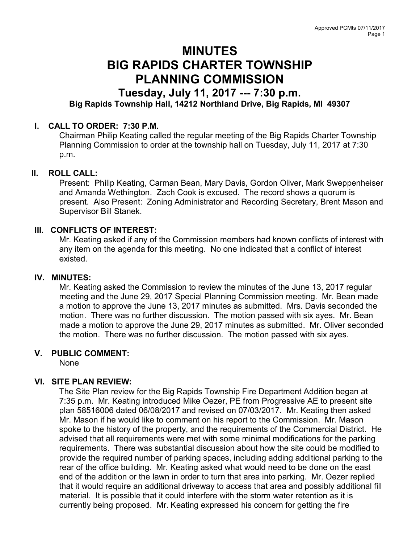# MINUTES BIG RAPIDS CHARTER TOWNSHIP PLANNING COMMISSION

## Tuesday, July 11, 2017 --- 7:30 p.m. Big Rapids Township Hall, 14212 Northland Drive, Big Rapids, MI 49307

### I. CALL TO ORDER: 7:30 P.M.

Chairman Philip Keating called the regular meeting of the Big Rapids Charter Township Planning Commission to order at the township hall on Tuesday, July 11, 2017 at 7:30 p.m.

#### II. ROLL CALL:

Present: Philip Keating, Carman Bean, Mary Davis, Gordon Oliver, Mark Sweppenheiser and Amanda Wethington. Zach Cook is excused. The record shows a quorum is present. Also Present: Zoning Administrator and Recording Secretary, Brent Mason and Supervisor Bill Stanek.

#### III. CONFLICTS OF INTEREST:

Mr. Keating asked if any of the Commission members had known conflicts of interest with any item on the agenda for this meeting. No one indicated that a conflict of interest existed.

#### IV. MINUTES:

Mr. Keating asked the Commission to review the minutes of the June 13, 2017 regular meeting and the June 29, 2017 Special Planning Commission meeting. Mr. Bean made a motion to approve the June 13, 2017 minutes as submitted. Mrs. Davis seconded the motion. There was no further discussion. The motion passed with six ayes. Mr. Bean made a motion to approve the June 29, 2017 minutes as submitted. Mr. Oliver seconded the motion. There was no further discussion. The motion passed with six ayes.

#### V. PUBLIC COMMENT:

None

#### VI. SITE PLAN REVIEW:

The Site Plan review for the Big Rapids Township Fire Department Addition began at 7:35 p.m. Mr. Keating introduced Mike Oezer, PE from Progressive AE to present site plan 58516006 dated 06/08/2017 and revised on 07/03/2017. Mr. Keating then asked Mr. Mason if he would like to comment on his report to the Commission. Mr. Mason spoke to the history of the property, and the requirements of the Commercial District. He advised that all requirements were met with some minimal modifications for the parking requirements. There was substantial discussion about how the site could be modified to provide the required number of parking spaces, including adding additional parking to the rear of the office building. Mr. Keating asked what would need to be done on the east end of the addition or the lawn in order to turn that area into parking. Mr. Oezer replied that it would require an additional driveway to access that area and possibly additional fill material. It is possible that it could interfere with the storm water retention as it is currently being proposed. Mr. Keating expressed his concern for getting the fire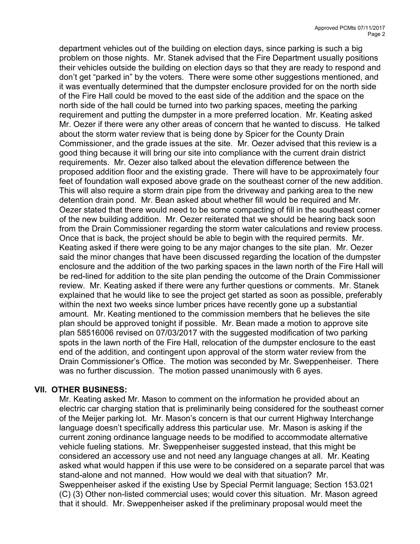department vehicles out of the building on election days, since parking is such a big problem on those nights. Mr. Stanek advised that the Fire Department usually positions their vehicles outside the building on election days so that they are ready to respond and don't get "parked in" by the voters. There were some other suggestions mentioned, and it was eventually determined that the dumpster enclosure provided for on the north side of the Fire Hall could be moved to the east side of the addition and the space on the north side of the hall could be turned into two parking spaces, meeting the parking requirement and putting the dumpster in a more preferred location. Mr. Keating asked Mr. Oezer if there were any other areas of concern that he wanted to discuss. He talked about the storm water review that is being done by Spicer for the County Drain Commissioner, and the grade issues at the site. Mr. Oezer advised that this review is a good thing because it will bring our site into compliance with the current drain district requirements. Mr. Oezer also talked about the elevation difference between the proposed addition floor and the existing grade. There will have to be approximately four feet of foundation wall exposed above grade on the southeast corner of the new addition. This will also require a storm drain pipe from the driveway and parking area to the new detention drain pond. Mr. Bean asked about whether fill would be required and Mr. Oezer stated that there would need to be some compacting of fill in the southeast corner of the new building addition. Mr. Oezer reiterated that we should be hearing back soon from the Drain Commissioner regarding the storm water calculations and review process. Once that is back, the project should be able to begin with the required permits. Mr. Keating asked if there were going to be any major changes to the site plan. Mr. Oezer said the minor changes that have been discussed regarding the location of the dumpster enclosure and the addition of the two parking spaces in the lawn north of the Fire Hall will be red-lined for addition to the site plan pending the outcome of the Drain Commissioner review. Mr. Keating asked if there were any further questions or comments. Mr. Stanek explained that he would like to see the project get started as soon as possible, preferably within the next two weeks since lumber prices have recently gone up a substantial amount. Mr. Keating mentioned to the commission members that he believes the site plan should be approved tonight if possible. Mr. Bean made a motion to approve site plan 58516006 revised on 07/03/2017 with the suggested modification of two parking spots in the lawn north of the Fire Hall, relocation of the dumpster enclosure to the east end of the addition, and contingent upon approval of the storm water review from the Drain Commissioner's Office. The motion was seconded by Mr. Sweppenheiser. There was no further discussion. The motion passed unanimously with 6 ayes.

#### VII. OTHER BUSINESS:

Mr. Keating asked Mr. Mason to comment on the information he provided about an electric car charging station that is preliminarily being considered for the southeast corner of the Meijer parking lot. Mr. Mason's concern is that our current Highway Interchange language doesn't specifically address this particular use. Mr. Mason is asking if the current zoning ordinance language needs to be modified to accommodate alternative vehicle fueling stations. Mr. Sweppenheiser suggested instead, that this might be considered an accessory use and not need any language changes at all. Mr. Keating asked what would happen if this use were to be considered on a separate parcel that was stand-alone and not manned. How would we deal with that situation? Mr. Sweppenheiser asked if the existing Use by Special Permit language; Section 153.021 (C) (3) Other non-listed commercial uses; would cover this situation. Mr. Mason agreed that it should. Mr. Sweppenheiser asked if the preliminary proposal would meet the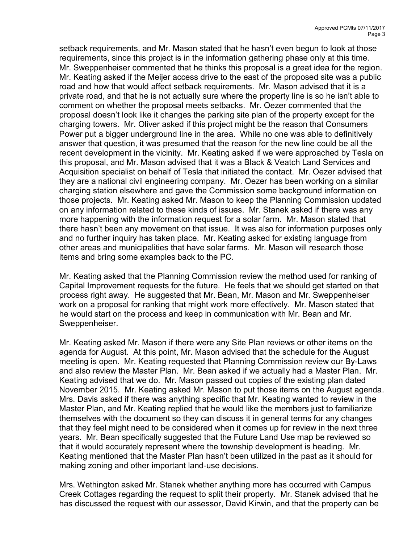setback requirements, and Mr. Mason stated that he hasn't even begun to look at those requirements, since this project is in the information gathering phase only at this time. Mr. Sweppenheiser commented that he thinks this proposal is a great idea for the region. Mr. Keating asked if the Meijer access drive to the east of the proposed site was a public road and how that would affect setback requirements. Mr. Mason advised that it is a private road, and that he is not actually sure where the property line is so he isn't able to comment on whether the proposal meets setbacks. Mr. Oezer commented that the proposal doesn't look like it changes the parking site plan of the property except for the charging towers. Mr. Oliver asked if this project might be the reason that Consumers Power put a bigger underground line in the area. While no one was able to definitively answer that question, it was presumed that the reason for the new line could be all the recent development in the vicinity. Mr. Keating asked if we were approached by Tesla on this proposal, and Mr. Mason advised that it was a Black & Veatch Land Services and Acquisition specialist on behalf of Tesla that initiated the contact. Mr. Oezer advised that they are a national civil engineering company. Mr. Oezer has been working on a similar charging station elsewhere and gave the Commission some background information on those projects. Mr. Keating asked Mr. Mason to keep the Planning Commission updated on any information related to these kinds of issues. Mr. Stanek asked if there was any more happening with the information request for a solar farm. Mr. Mason stated that there hasn't been any movement on that issue. It was also for information purposes only and no further inquiry has taken place. Mr. Keating asked for existing language from other areas and municipalities that have solar farms. Mr. Mason will research those items and bring some examples back to the PC.

Mr. Keating asked that the Planning Commission review the method used for ranking of Capital Improvement requests for the future. He feels that we should get started on that process right away. He suggested that Mr. Bean, Mr. Mason and Mr. Sweppenheiser work on a proposal for ranking that might work more effectively. Mr. Mason stated that he would start on the process and keep in communication with Mr. Bean and Mr. Sweppenheiser.

Mr. Keating asked Mr. Mason if there were any Site Plan reviews or other items on the agenda for August. At this point, Mr. Mason advised that the schedule for the August meeting is open. Mr. Keating requested that Planning Commission review our By-Laws and also review the Master Plan. Mr. Bean asked if we actually had a Master Plan. Mr. Keating advised that we do. Mr. Mason passed out copies of the existing plan dated November 2015. Mr. Keating asked Mr. Mason to put those items on the August agenda. Mrs. Davis asked if there was anything specific that Mr. Keating wanted to review in the Master Plan, and Mr. Keating replied that he would like the members just to familiarize themselves with the document so they can discuss it in general terms for any changes that they feel might need to be considered when it comes up for review in the next three years. Mr. Bean specifically suggested that the Future Land Use map be reviewed so that it would accurately represent where the township development is heading. Mr. Keating mentioned that the Master Plan hasn't been utilized in the past as it should for making zoning and other important land-use decisions.

Mrs. Wethington asked Mr. Stanek whether anything more has occurred with Campus Creek Cottages regarding the request to split their property. Mr. Stanek advised that he has discussed the request with our assessor, David Kirwin, and that the property can be